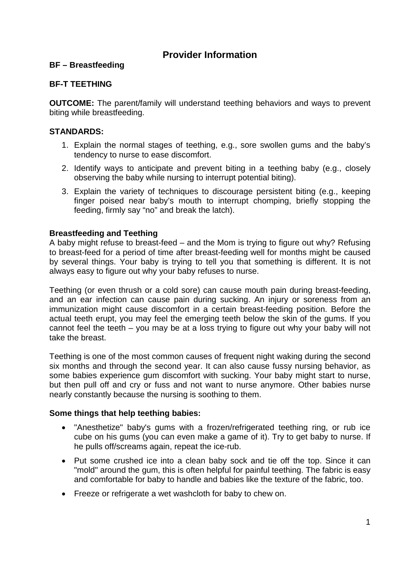# **Provider Information**

### **BF – Breastfeeding**

### **BF-T TEETHING**

**OUTCOME:** The parent/family will understand teething behaviors and ways to prevent biting while breastfeeding.

## **STANDARDS:**

- 1. Explain the normal stages of teething, e.g., sore swollen gums and the baby's tendency to nurse to ease discomfort.
- 2. Identify ways to anticipate and prevent biting in a teething baby (e.g., closely observing the baby while nursing to interrupt potential biting).
- 3. Explain the variety of techniques to discourage persistent biting (e.g., keeping finger poised near baby's mouth to interrupt chomping, briefly stopping the feeding, firmly say "no" and break the latch).

### **Breastfeeding and Teething**

A baby might refuse to breast-feed – and the Mom is trying to figure out why? Refusing to breast-feed for a period of time after breast-feeding well for months might be caused by several things. Your baby is trying to tell you that something is different. It is not always easy to figure out why your baby refuses to nurse.

Teething (or even thrush or a cold sore) can cause mouth pain during breast-feeding, and an ear infection can cause pain during sucking. An injury or soreness from an immunization might cause discomfort in a certain breast-feeding position. Before the actual teeth erupt, you may feel the emerging teeth below the skin of the gums. If you cannot feel the teeth – you may be at a loss trying to figure out why your baby will not take the breast.

Teething is one of the most common causes of frequent night waking during the second six months and through the second year. It can also cause fussy nursing behavior, as some babies experience gum discomfort with sucking. Your baby might start to nurse, but then pull off and cry or fuss and not want to nurse anymore. Other babies nurse nearly constantly because the nursing is soothing to them.

### **Some things that help teething babies:**

- "Anesthetize" baby's gums with a frozen/refrigerated teething ring, or rub ice cube on his gums (you can even make a game of it). Try to get baby to nurse. If he pulls off/screams again, repeat the ice-rub.
- Put some crushed ice into a clean baby sock and tie off the top. Since it can "mold" around the gum, this is often helpful for painful teething. The fabric is easy and comfortable for baby to handle and babies like the texture of the fabric, too.
- Freeze or refrigerate a wet washcloth for baby to chew on.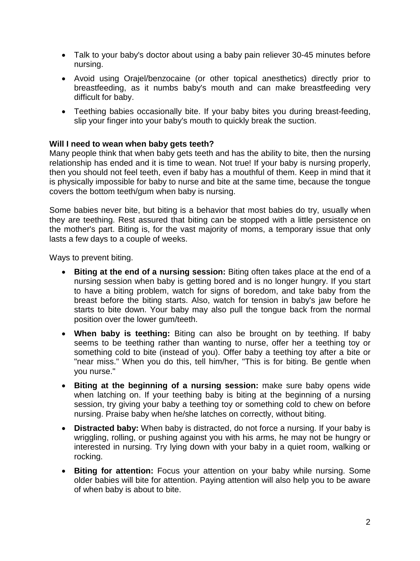- Talk to your baby's doctor about using a baby pain reliever 30-45 minutes before nursing.
- Avoid using Orajel/benzocaine (or other topical anesthetics) directly prior to breastfeeding, as it numbs baby's mouth and can make breastfeeding very difficult for baby.
- Teething babies occasionally bite. If your baby bites you during breast-feeding, slip your finger into your baby's mouth to quickly break the suction.

#### **Will I need to wean when baby gets teeth?**

Many people think that when baby gets teeth and has the ability to bite, then the nursing relationship has ended and it is time to wean. Not true! If your baby is nursing properly, then you should not feel teeth, even if baby has a mouthful of them. Keep in mind that it is physically impossible for baby to nurse and bite at the same time, because the tongue covers the bottom teeth/gum when baby is nursing.

Some babies never bite, but biting is a behavior that most babies do try, usually when they are teething. Rest assured that biting can be stopped with a little persistence on the mother's part. Biting is, for the vast majority of moms, a temporary issue that only lasts a few days to a couple of weeks.

Ways to prevent biting.

- **Biting at the end of a nursing session:** Biting often takes place at the end of a nursing session when baby is getting bored and is no longer hungry. If you start to have a biting problem, watch for signs of boredom, and take baby from the breast before the biting starts. Also, watch for tension in baby's jaw before he starts to bite down. Your baby may also pull the tongue back from the normal position over the lower gum/teeth.
- **When baby is teething:** Biting can also be brought on by teething. If baby seems to be teething rather than wanting to nurse, offer her a teething toy or something cold to bite (instead of you). Offer baby a teething toy after a bite or "near miss." When you do this, tell him/her, "This is for biting. Be gentle when you nurse."
- **Biting at the beginning of a nursing session:** make sure baby opens wide when latching on. If your teething baby is biting at the beginning of a nursing session, try giving your baby a teething toy or something cold to chew on before nursing. Praise baby when he/she latches on correctly, without biting.
- **Distracted baby:** When baby is distracted, do not force a nursing. If your baby is wriggling, rolling, or pushing against you with his arms, he may not be hungry or interested in nursing. Try lying down with your baby in a quiet room, walking or rocking.
- **Biting for attention:** Focus your attention on your baby while nursing. Some older babies will bite for attention. Paying attention will also help you to be aware of when baby is about to bite.